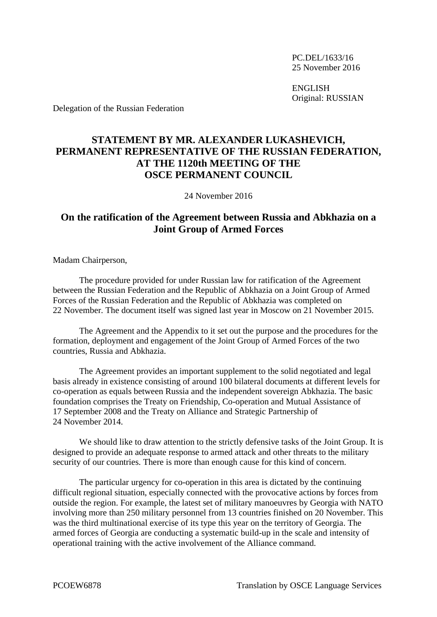PC.DEL/1633/16 25 November 2016

ENGLISH Original: RUSSIAN

Delegation of the Russian Federation

## **STATEMENT BY MR. ALEXANDER LUKASHEVICH, PERMANENT REPRESENTATIVE OF THE RUSSIAN FEDERATION, AT THE 1120th MEETING OF THE OSCE PERMANENT COUNCIL**

24 November 2016

## **On the ratification of the Agreement between Russia and Abkhazia on a Joint Group of Armed Forces**

Madam Chairperson,

The procedure provided for under Russian law for ratification of the Agreement between the Russian Federation and the Republic of Abkhazia on a Joint Group of Armed Forces of the Russian Federation and the Republic of Abkhazia was completed on 22 November. The document itself was signed last year in Moscow on 21 November 2015.

The Agreement and the Appendix to it set out the purpose and the procedures for the formation, deployment and engagement of the Joint Group of Armed Forces of the two countries, Russia and Abkhazia.

The Agreement provides an important supplement to the solid negotiated and legal basis already in existence consisting of around 100 bilateral documents at different levels for co-operation as equals between Russia and the independent sovereign Abkhazia. The basic foundation comprises the Treaty on Friendship, Co-operation and Mutual Assistance of 17 September 2008 and the Treaty on Alliance and Strategic Partnership of 24 November 2014.

We should like to draw attention to the strictly defensive tasks of the Joint Group. It is designed to provide an adequate response to armed attack and other threats to the military security of our countries. There is more than enough cause for this kind of concern.

The particular urgency for co-operation in this area is dictated by the continuing difficult regional situation, especially connected with the provocative actions by forces from outside the region. For example, the latest set of military manoeuvres by Georgia with NATO involving more than 250 military personnel from 13 countries finished on 20 November. This was the third multinational exercise of its type this year on the territory of Georgia. The armed forces of Georgia are conducting a systematic build-up in the scale and intensity of operational training with the active involvement of the Alliance command.